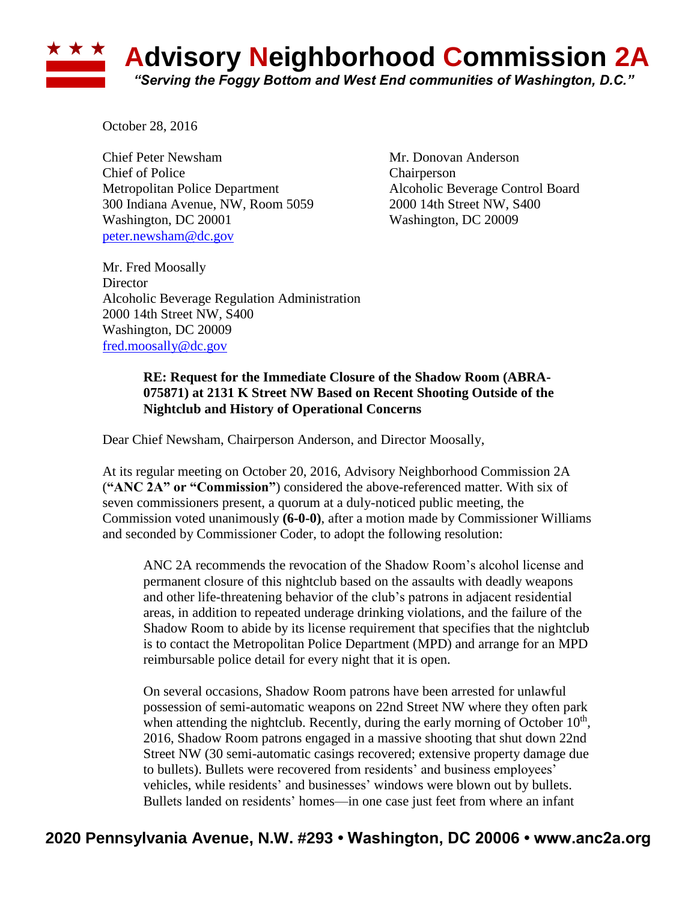## **Advisory Neighborhood Commission 2A** *"Serving the Foggy Bottom and West End communities of Washington, D.C."*

October 28, 2016

Chief Peter Newsham Mr. Donovan Anderson Chief of Police Chairperson Metropolitan Police Department Alcoholic Beverage Control Board 300 Indiana Avenue, NW, Room 5059 2000 14th Street NW, S400 Washington, DC 20001 Washington, DC 20009 [peter.newsham@dc.gov](mailto:peter.newsham@dc.gov)

Mr. Fred Moosally **Director** Alcoholic Beverage Regulation Administration 2000 14th Street NW, S400 Washington, DC 20009 [fred.moosally@dc.gov](mailto:fred.moosally@dc.gov)

## **RE: Request for the Immediate Closure of the Shadow Room (ABRA-075871) at 2131 K Street NW Based on Recent Shooting Outside of the Nightclub and History of Operational Concerns**

Dear Chief Newsham, Chairperson Anderson, and Director Moosally,

At its regular meeting on October 20, 2016, Advisory Neighborhood Commission 2A (**"ANC 2A" or "Commission"**) considered the above-referenced matter. With six of seven commissioners present, a quorum at a duly-noticed public meeting, the Commission voted unanimously **(6-0-0)**, after a motion made by Commissioner Williams and seconded by Commissioner Coder, to adopt the following resolution:

ANC 2A recommends the revocation of the Shadow Room's alcohol license and permanent closure of this nightclub based on the assaults with deadly weapons and other life-threatening behavior of the club's patrons in adjacent residential areas, in addition to repeated underage drinking violations, and the failure of the Shadow Room to abide by its license requirement that specifies that the nightclub is to contact the Metropolitan Police Department (MPD) and arrange for an MPD reimbursable police detail for every night that it is open.

On several occasions, Shadow Room patrons have been arrested for unlawful possession of semi-automatic weapons on 22nd Street NW where they often park when attending the nightclub. Recently, during the early morning of October  $10<sup>th</sup>$ , 2016, Shadow Room patrons engaged in a massive shooting that shut down 22nd Street NW (30 semi-automatic casings recovered; extensive property damage due to bullets). Bullets were recovered from residents' and business employees' vehicles, while residents' and businesses' windows were blown out by bullets. Bullets landed on residents' homes—in one case just feet from where an infant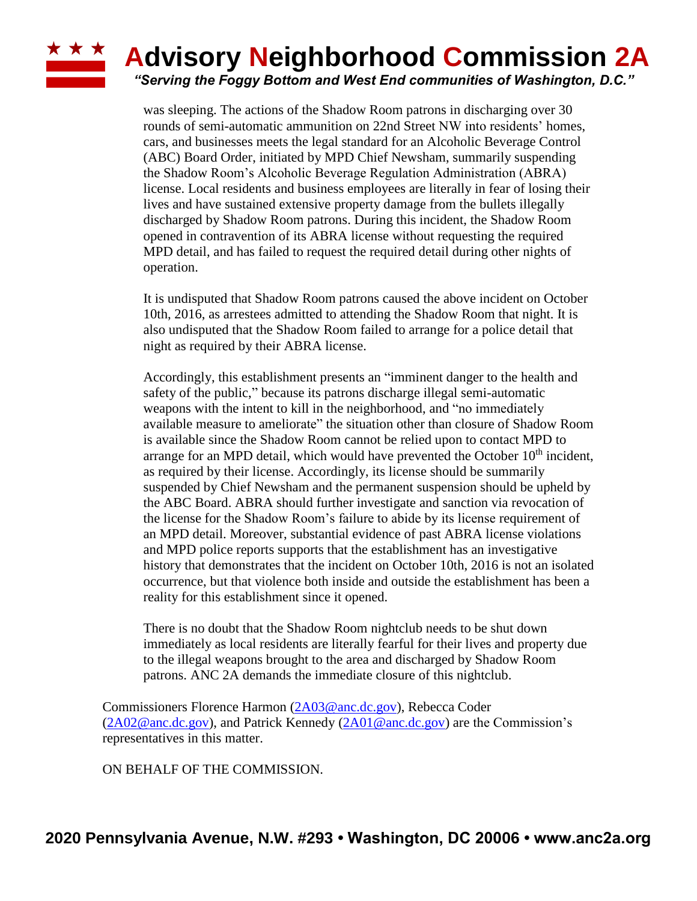## **Advisory Neighborhood Commission 2A**

*"Serving the Foggy Bottom and West End communities of Washington, D.C."*

was sleeping. The actions of the Shadow Room patrons in discharging over 30 rounds of semi-automatic ammunition on 22nd Street NW into residents' homes, cars, and businesses meets the legal standard for an Alcoholic Beverage Control (ABC) Board Order, initiated by MPD Chief Newsham, summarily suspending the Shadow Room's Alcoholic Beverage Regulation Administration (ABRA) license. Local residents and business employees are literally in fear of losing their lives and have sustained extensive property damage from the bullets illegally discharged by Shadow Room patrons. During this incident, the Shadow Room opened in contravention of its ABRA license without requesting the required MPD detail, and has failed to request the required detail during other nights of operation.

It is undisputed that Shadow Room patrons caused the above incident on October 10th, 2016, as arrestees admitted to attending the Shadow Room that night. It is also undisputed that the Shadow Room failed to arrange for a police detail that night as required by their ABRA license.

Accordingly, this establishment presents an "imminent danger to the health and safety of the public," because its patrons discharge illegal semi-automatic weapons with the intent to kill in the neighborhood, and "no immediately available measure to ameliorate" the situation other than closure of Shadow Room is available since the Shadow Room cannot be relied upon to contact MPD to arrange for an MPD detail, which would have prevented the October  $10<sup>th</sup>$  incident, as required by their license. Accordingly, its license should be summarily suspended by Chief Newsham and the permanent suspension should be upheld by the ABC Board. ABRA should further investigate and sanction via revocation of the license for the Shadow Room's failure to abide by its license requirement of an MPD detail. Moreover, substantial evidence of past ABRA license violations and MPD police reports supports that the establishment has an investigative history that demonstrates that the incident on October 10th, 2016 is not an isolated occurrence, but that violence both inside and outside the establishment has been a reality for this establishment since it opened.

There is no doubt that the Shadow Room nightclub needs to be shut down immediately as local residents are literally fearful for their lives and property due to the illegal weapons brought to the area and discharged by Shadow Room patrons. ANC 2A demands the immediate closure of this nightclub.

Commissioners Florence Harmon [\(2A03@anc.dc.gov\)](mailto:2A03@anc.dc.gov), Rebecca Coder [\(2A02@anc.dc.gov\)](mailto:2A02@anc.dc.gov), and Patrick Kennedy [\(2A01@anc.dc.gov\)](mailto:2A01@anc.dc.gov) are the Commission's representatives in this matter.

ON BEHALF OF THE COMMISSION.

**\* \* \***